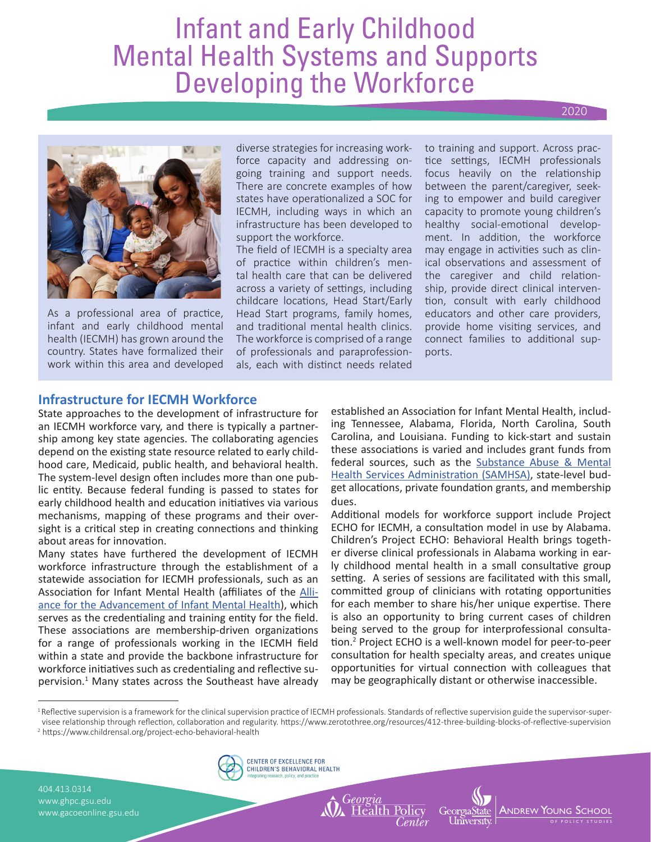# Infant and Early Childhood Mental Health Systems and Supports Developing the Workforce

#### 2020



As a professional area of practice, infant and early childhood mental health (IECMH) has grown around the country. States have formalized their work within this area and developed diverse strategies for increasing workforce capacity and addressing ongoing training and support needs. There are concrete examples of how states have operationalized a SOC for IECMH, including ways in which an infrastructure has been developed to support the workforce.

The field of IECMH is a specialty area of practice within children's mental health care that can be delivered across a variety of settings, including childcare locations, Head Start/Early Head Start programs, family homes, and traditional mental health clinics. The workforce is comprised of a range of professionals and paraprofessionals, each with distinct needs related

to training and support. Across practice settings, IECMH professionals focus heavily on the relationship between the parent/caregiver, seeking to empower and build caregiver capacity to promote young children's healthy social-emotional development. In addition, the workforce may engage in activities such as clinical observations and assessment of the caregiver and child relationship, provide direct clinical intervention, consult with early childhood educators and other care providers, provide home visiting services, and connect families to additional supports.

## **Infrastructure for IECMH Workforce**

State approaches to the development of infrastructure for an IECMH workforce vary, and there is typically a partnership among key state agencies. The collaborating agencies depend on the existing state resource related to early childhood care, Medicaid, public health, and behavioral health. The system-level design often includes more than one public entity. Because federal funding is passed to states for early childhood health and education initiatives via various mechanisms, mapping of these programs and their oversight is a critical step in creating connections and thinking about areas for innovation.

Many states have furthered the development of IECMH workforce infrastructure through the establishment of a statewide association for IECMH professionals, such as an Association for Infant Mental Health (affiliates of the Alliance for the Advancement of Infant Mental Health), which serves as the credentialing and training entity for the field. These associations are membership-driven organizations for a range of professionals working in the IECMH field within a state and provide the backbone infrastructure for workforce initiatives such as credentialing and reflective supervision.<sup>1</sup> Many states across the Southeast have already

established an Association for Infant Mental Health, including Tennessee, Alabama, Florida, North Carolina, South Carolina, and Louisiana. Funding to kick-start and sustain these associations is varied and includes grant funds from federal sources, such as the Substance Abuse & Mental Health Services Administration (SAMHSA), state-level budget allocations, private foundation grants, and membership dues.

Additional models for workforce support include Project ECHO for IECMH, a consultation model in use by Alabama. Children's Project ECHO: Behavioral Health brings together diverse clinical professionals in Alabama working in early childhood mental health in a small consultative group setting. A series of sessions are facilitated with this small, committed group of clinicians with rotating opportunities for each member to share his/her unique expertise. There is also an opportunity to bring current cases of children being served to the group for interprofessional consultation.<sup>2</sup> Project ECHO is a well-known model for peer-to-peer consultation for health specialty areas, and creates unique opportunities for virtual connection with colleagues that may be geographically distant or otherwise inaccessible.

**A**ndrew **Y**oung S

O F POLICY STUDIE S

<sup>1</sup> Reflective supervision is a framework for the clinical supervision practice of IECMH professionals. Standards of reflective supervision guide the supervisor-supervisee relationship through reflection, collaboration and regularity. https://www.zerotothree.org/resources/412-three-building-blocks-of-reflective-supervision

2 https://www.childrensal.org/project-echo-behavioral-health

404.413.0314 www.ghpc.gsu.edu www.gacoeonline.gsu.edu

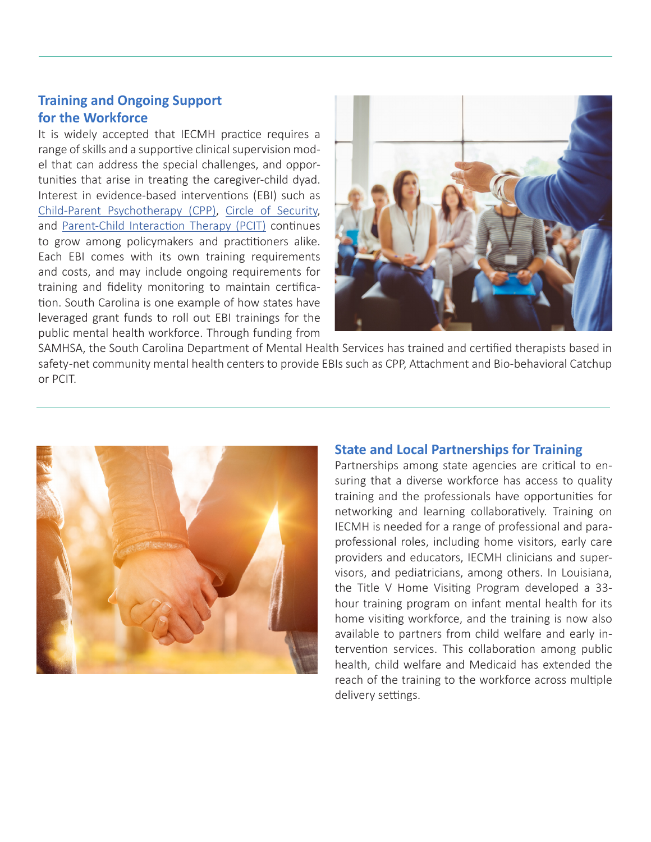## **Training and Ongoing Support for the Workforce**

It is widely accepted that IECMH practice requires a range of skills and a supportive clinical supervision model that can address the special challenges, and opportunities that arise in treating the caregiver-child dyad. Interest in evidence-based interventions (EBI) such as Child-Parent Psychotherapy (CPP), Circle of Security, and Parent-Child Interaction Therapy (PCIT) continues to grow among policymakers and practitioners alike. Each EBI comes with its own training requirements and costs, and may include ongoing requirements for training and fidelity monitoring to maintain certification. South Carolina is one example of how states have leveraged grant funds to roll out EBI trainings for the public mental health workforce. Through funding from



SAMHSA, the South Carolina Department of Mental Health Services has trained and certified therapists based in safety -net community mental health centers to provide EBIs such as CPP, Attachment and Bio-behavioral Catchup or PCIT.



## **State and Local Partnerships for Training**

Partnerships among state agencies are critical to ensuring that a diverse workforce has access to quality training and the professionals have opportunities for networking and learning collaboratively. Training on IECMH is needed for a range of professional and paraprofessional roles, including home visitors, early care providers and educators, IECMH clinicians and supervisors, and pediatricians, among others. In Louisiana, the Title V Home Visiting Program developed a 33 hour training program on infant mental health for its home visiting workforce, and the training is now also available to partners from child welfare and early intervention services. This collaboration among public health, child welfare and Medicaid has extended the reach of the training to the workforce across multiple delivery settings.